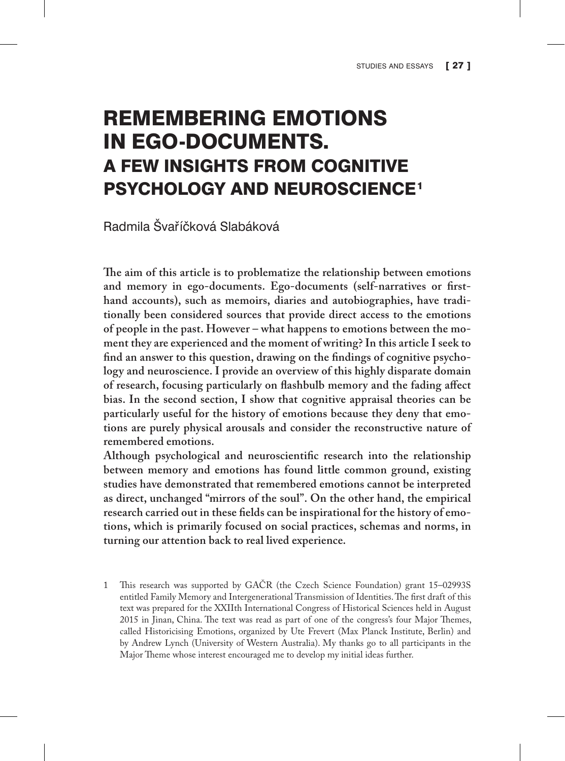# REMEMBERING EMOTIONS IN EGO-DOCUMENTS. A FEW INSIGHTS FROM COGNITIVE PSYCHOLOGY AND NEUROSCIENCE1

Radmila Švarˇíčková Slabáková

**The aim of this article is to problematize the relationship between emotions and memory in ego-documents. Ego-documents (self-narratives or firsthand accounts), such as memoirs, diaries and autobiographies, have traditionally been considered sources that provide direct access to the emotions of people in the past. However – what happens to emotions between the moment they are experienced and the moment of writing? In this article I seek to find an answer to this question, drawing on the findings of cognitive psychology and neuroscience. I provide an overview of this highly disparate domain of research, focusing particularly on flashbulb memory and the fading affect bias. In the second section, I show that cognitive appraisal theories can be particularly useful for the history of emotions because they deny that emotions are purely physical arousals and consider the reconstructive nature of remembered emotions.**

**Although psychological and neuroscientific research into the relationship between memory and emotions has found little common ground, existing studies have demonstrated that remembered emotions cannot be interpreted as direct, unchanged "mirrors of the soul". On the other hand, the empirical research carried out in these fields can be inspirational for the history of emotions, which is primarily focused on social practices, schemas and norms, in turning our attention back to real lived experience.**

This research was supported by GAČR (the Czech Science Foundation) grant 15-02993S entitled Family Memory and Intergenerational Transmission of Identities. The first draft of this text was prepared for the XXIIth International Congress of Historical Sciences held in August 2015 in Jinan, China. The text was read as part of one of the congress's four Major Themes, called Historicising Emotions, organized by Ute Frevert (Max Planck Institute, Berlin) and by Andrew Lynch (University of Western Australia). My thanks go to all participants in the Major Theme whose interest encouraged me to develop my initial ideas further.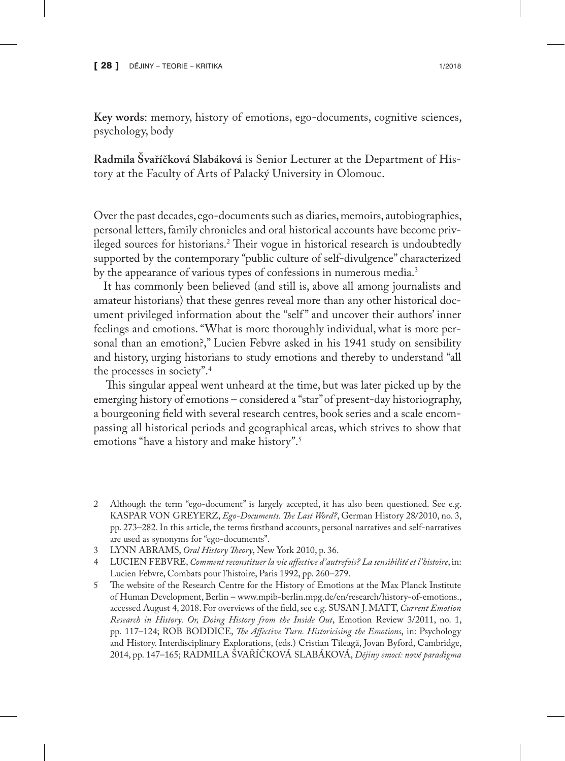**Key words**: memory, history of emotions, ego-documents, cognitive sciences, psychology, body

**Radmila Švaříčková Slabáková** is Senior Lecturer at the Department of History at the Faculty of Arts of Palacký University in Olomouc.

Over the past decades, ego-documents such as diaries, memoirs, autobiographies, personal letters, family chronicles and oral historical accounts have become privileged sources for historians.2 Their vogue in historical research is undoubtedly supported by the contemporary "public culture of self-divulgence" characterized by the appearance of various types of confessions in numerous media.<sup>3</sup>

It has commonly been believed (and still is, above all among journalists and amateur historians) that these genres reveal more than any other historical document privileged information about the "self" and uncover their authors' inner feelings and emotions. "What is more thoroughly individual, what is more personal than an emotion?," Lucien Febvre asked in his 1941 study on sensibility and history, urging historians to study emotions and thereby to understand "all the processes in society".4

 This singular appeal went unheard at the time, but was later picked up by the emerging history of emotions – considered a "star" of present-day historiography, a bourgeoning field with several research centres, book series and a scale encompassing all historical periods and geographical areas, which strives to show that emotions "have a history and make history".5

- 2 Although the term "ego-document" is largely accepted, it has also been questioned. See e.g. KASPAR VON GREYERZ, *Ego-Documents. The Last Word?*, German History 28/2010, no. 3, pp. 273–282. In this article, the terms firsthand accounts, personal narratives and self-narratives are used as synonyms for "ego-documents".
- 3 LYNN ABRAMS, *Oral History Theory*, New York 2010, p. 36.
- 4 LUCIEN FEBVRE, *Comment reconstituer la vie affective d'autrefois? La sensibilité et l'histoire*, in: Lucien Febvre, Combats pour l'histoire, Paris 1992, pp. 260–279.
- 5 The website of the Research Centre for the History of Emotions at the Max Planck Institute of Human Development, Berlin – www.mpib-berlin.mpg.de/en/research/history-of-emotions., accessed August 4, 2018. For overviews of the field, see e.g. SUSAN J. MATT, *Current Emotion Research in History. Or, Doing History from the Inside Out*, Emotion Review 3/2011, no. 1, pp. 117–124; ROB BODDICE, *The Affective Turn. Historicising the Emotions*, in: Psychology and History. Interdisciplinary Explorations, (eds.) Cristian Tileagă, Jovan Byford, Cambridge, 2014, pp. 147–165; RADMILA ŠVAŘÍČKOVÁ SLABÁKOVÁ, *Dějiny emocí: nové paradigma*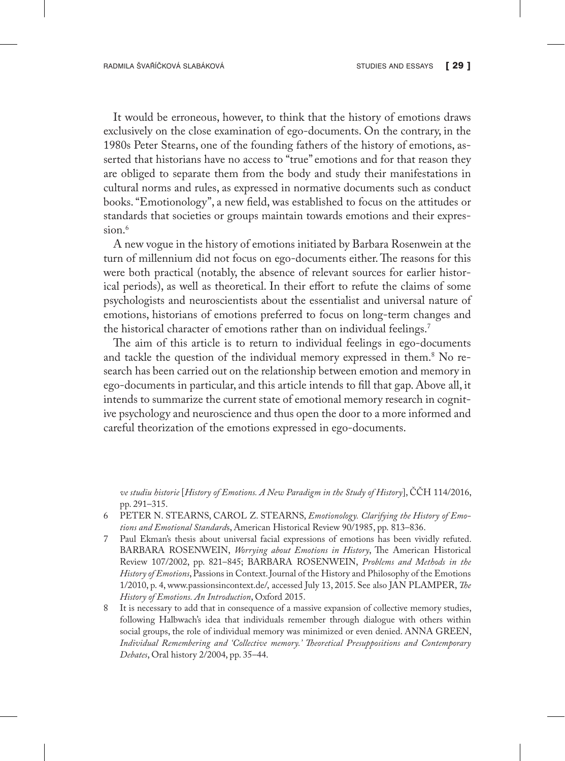It would be erroneous, however, to think that the history of emotions draws exclusively on the close examination of ego-documents. On the contrary, in the 1980s Peter Stearns, one of the founding fathers of the history of emotions, asserted that historians have no access to "true" emotions and for that reason they are obliged to separate them from the body and study their manifestations in cultural norms and rules, as expressed in normative documents such as conduct books. "Emotionology", a new field, was established to focus on the attitudes or standards that societies or groups maintain towards emotions and their expression.<sup>6</sup>

A new vogue in the history of emotions initiated by Barbara Rosenwein at the turn of millennium did not focus on ego-documents either. The reasons for this were both practical (notably, the absence of relevant sources for earlier historical periods), as well as theoretical. In their effort to refute the claims of some psychologists and neuroscientists about the essentialist and universal nature of emotions, historians of emotions preferred to focus on long-term changes and the historical character of emotions rather than on individual feelings.7

The aim of this article is to return to individual feelings in ego-documents and tackle the question of the individual memory expressed in them.8 No research has been carried out on the relationship between emotion and memory in ego-documents in particular, and this article intends to fill that gap. Above all, it intends to summarize the current state of emotional memory research in cognitive psychology and neuroscience and thus open the door to a more informed and careful theorization of the emotions expressed in ego-documents.

*ve studiu historie* [*History of Emotions. A New Paradigm in the Study of History*], ČČH 114/2016, pp. 291–315.

- 6 PETER N. STEARNS, CAROL Z. STEARNS, *Emotionology. Clarifying the History of Emotions and Emotional Standard*s, American Historical Review 90/1985, pp. 813–836.
- 7 Paul Ekman's thesis about universal facial expressions of emotions has been vividly refuted. BARBARA ROSENWEIN, *Worrying about Emotions in History*, The American Historical Review 107/2002, pp. 821–845; BARBARA ROSENWEIN, *Problems and Methods in the History of Emotions*, Passions in Context. Journal of the History and Philosophy of the Emotions 1/2010, p. 4, www.passionsincontext.de/, accessed July 13, 2015. See also JAN PLAMPER, *The History of Emotions. An Introduction*, Oxford 2015.
- 8 It is necessary to add that in consequence of a massive expansion of collective memory studies, following Halbwach's idea that individuals remember through dialogue with others within social groups, the role of individual memory was minimized or even denied. ANNA GREEN, *Individual Remembering and 'Collective memory.' Theoretical Presuppositions and Contemporary Debates*, Oral history 2/2004, pp. 35–44.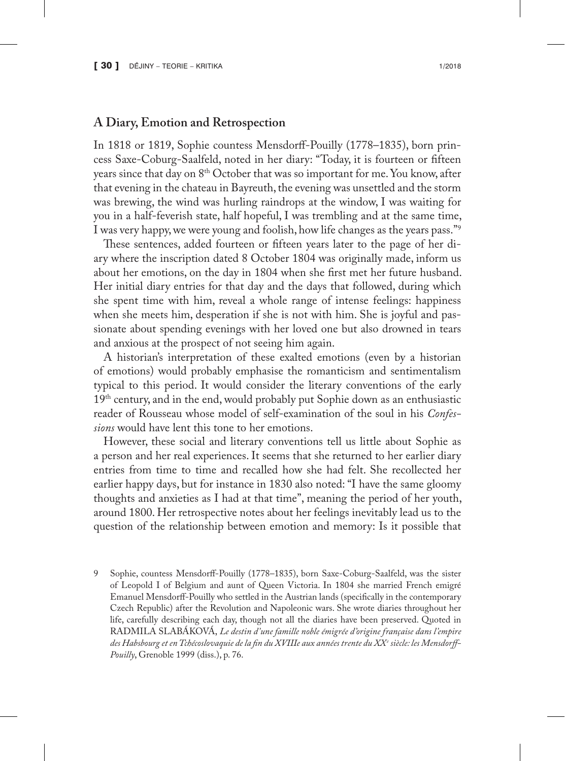## **A Diary, Emotion and Retrospection**

In 1818 or 1819, Sophie countess Mensdorff-Pouilly (1778–1835), born princess Saxe-Coburg-Saalfeld, noted in her diary: "Today, it is fourteen or fifteen years since that day on 8th October that was so important for me. You know, after that evening in the chateau in Bayreuth, the evening was unsettled and the storm was brewing, the wind was hurling raindrops at the window, I was waiting for you in a half-feverish state, half hopeful, I was trembling and at the same time, I was very happy, we were young and foolish, how life changes as the years pass."9

These sentences, added fourteen or fifteen years later to the page of her diary where the inscription dated 8 October 1804 was originally made, inform us about her emotions, on the day in 1804 when she first met her future husband. Her initial diary entries for that day and the days that followed, during which she spent time with him, reveal a whole range of intense feelings: happiness when she meets him, desperation if she is not with him. She is joyful and passionate about spending evenings with her loved one but also drowned in tears and anxious at the prospect of not seeing him again.

A historian's interpretation of these exalted emotions (even by a historian of emotions) would probably emphasise the romanticism and sentimentalism typical to this period. It would consider the literary conventions of the early 19<sup>th</sup> century, and in the end, would probably put Sophie down as an enthusiastic reader of Rousseau whose model of self-examination of the soul in his *Confessions* would have lent this tone to her emotions.

However, these social and literary conventions tell us little about Sophie as a person and her real experiences. It seems that she returned to her earlier diary entries from time to time and recalled how she had felt. She recollected her earlier happy days, but for instance in 1830 also noted: "I have the same gloomy thoughts and anxieties as I had at that time", meaning the period of her youth, around 1800. Her retrospective notes about her feelings inevitably lead us to the question of the relationship between emotion and memory: Is it possible that

9 Sophie, countess Mensdorff-Pouilly (1778–1835), born Saxe-Coburg-Saalfeld, was the sister of Leopold I of Belgium and aunt of Queen Victoria. In 1804 she married French emigré Emanuel Mensdorff-Pouilly who settled in the Austrian lands (specifically in the contemporary Czech Republic) after the Revolution and Napoleonic wars. She wrote diaries throughout her life, carefully describing each day, though not all the diaries have been preserved. Quoted in RADMILA SLABÁKOVÁ, *Le destin d'une famille noble émigrée d'origine française dans l'empire des Habsbourg et en Tchécoslovaquie de la fin du XVIIIe aux années trente du XXe siècle: les Mensdorff-Pouilly*, Grenoble 1999 (diss.), p. 76.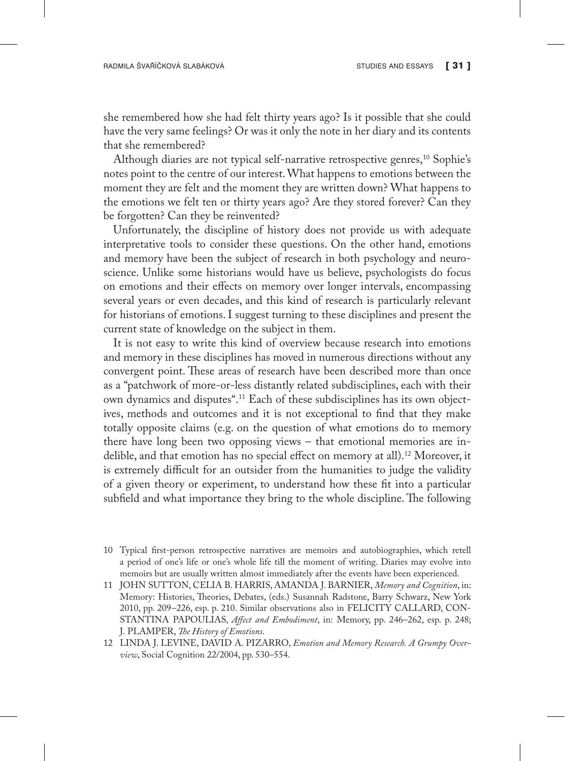she remembered how she had felt thirty years ago? Is it possible that she could have the very same feelings? Or was it only the note in her diary and its contents that she remembered?

Although diaries are not typical self-narrative retrospective genres,<sup>10</sup> Sophie's notes point to the centre of our interest. What happens to emotions between the moment they are felt and the moment they are written down? What happens to the emotions we felt ten or thirty years ago? Are they stored forever? Can they be forgotten? Can they be reinvented?

Unfortunately, the discipline of history does not provide us with adequate interpretative tools to consider these questions. On the other hand, emotions and memory have been the subject of research in both psychology and neuroscience. Unlike some historians would have us believe, psychologists do focus on emotions and their effects on memory over longer intervals, encompassing several years or even decades, and this kind of research is particularly relevant for historians of emotions. I suggest turning to these disciplines and present the current state of knowledge on the subject in them.

It is not easy to write this kind of overview because research into emotions and memory in these disciplines has moved in numerous directions without any convergent point. These areas of research have been described more than once as a "patchwork of more-or-less distantly related subdisciplines, each with their own dynamics and disputes".11 Each of these subdisciplines has its own objectives, methods and outcomes and it is not exceptional to find that they make totally opposite claims (e.g. on the question of what emotions do to memory there have long been two opposing views – that emotional memories are indelible, and that emotion has no special effect on memory at all).12 Moreover, it is extremely difficult for an outsider from the humanities to judge the validity of a given theory or experiment, to understand how these fit into a particular subfield and what importance they bring to the whole discipline. The following

<sup>10</sup> Typical first-person retrospective narratives are memoirs and autobiographies, which retell a period of one's life or one's whole life till the moment of writing. Diaries may evolve into memoirs but are usually written almost immediately after the events have been experienced.

<sup>11</sup> JOHN SUTTON, CELIA B. HARRIS, AMANDA J. BARNIER, *Memory and Cognition*, in: Memory: Histories, Theories, Debates, (eds.) Susannah Radstone, Barry Schwarz, New York 2010, pp. 209–226, esp. p. 210. Similar observations also in FELICITY CALLARD, CON-STANTINA PAPOULIAS, *Affect and Embodiment*, in: Memory, pp. 246–262, esp. p. 248; J. PLAMPER, *The History of Emotions*.

<sup>12</sup> LINDA J. LEVINE, DAVID A. PIZARRO, *Emotion and Memory Research. A Grumpy Overview*, Social Cognition 22/2004, pp. 530–554.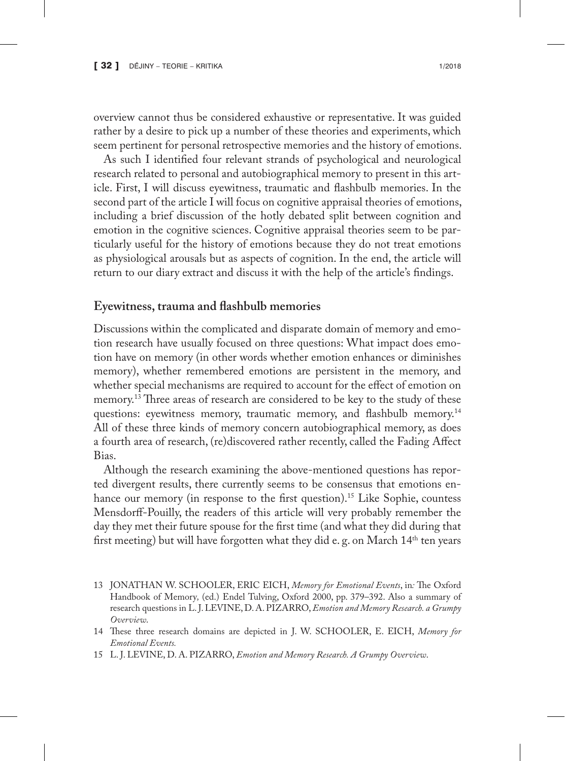overview cannot thus be considered exhaustive or representative. It was guided rather by a desire to pick up a number of these theories and experiments, which seem pertinent for personal retrospective memories and the history of emotions.

As such I identified four relevant strands of psychological and neurological research related to personal and autobiographical memory to present in this article. First, I will discuss eyewitness, traumatic and flashbulb memories. In the second part of the article I will focus on cognitive appraisal theories of emotions, including a brief discussion of the hotly debated split between cognition and emotion in the cognitive sciences. Cognitive appraisal theories seem to be particularly useful for the history of emotions because they do not treat emotions as physiological arousals but as aspects of cognition. In the end, the article will return to our diary extract and discuss it with the help of the article's findings.

#### **Eyewitness, trauma and flashbulb memories**

Discussions within the complicated and disparate domain of memory and emotion research have usually focused on three questions: What impact does emotion have on memory (in other words whether emotion enhances or diminishes memory), whether remembered emotions are persistent in the memory, and whether special mechanisms are required to account for the effect of emotion on memory.<sup>13</sup> Three areas of research are considered to be key to the study of these questions: eyewitness memory, traumatic memory, and flashbulb memory.<sup>14</sup> All of these three kinds of memory concern autobiographical memory, as does a fourth area of research, (re)discovered rather recently, called the Fading Affect Bias.

Although the research examining the above-mentioned questions has reported divergent results, there currently seems to be consensus that emotions enhance our memory (in response to the first question).<sup>15</sup> Like Sophie, countess Mensdorff-Pouilly, the readers of this article will very probably remember the day they met their future spouse for the first time (and what they did during that first meeting) but will have forgotten what they did e. g. on March  $14<sup>th</sup>$  ten years

- 13 JONATHAN W. SCHOOLER, ERIC EICH, *Memory for Emotional Events*, in*:* The Oxford Handbook of Memory*,* (ed.) Endel Tulving, Oxford 2000, pp. 379–392. Also a summary of research questions in L. J. LEVINE, D. A. PIZARRO, *Emotion and Memory Research. a Grumpy Overview*.
- 14 These three research domains are depicted in J. W. SCHOOLER, E. EICH, *Memory for Emotional Events.*

<sup>15</sup> L. J. LEVINE, D. A. PIZARRO, *Emotion and Memory Research. A Grumpy Overview*.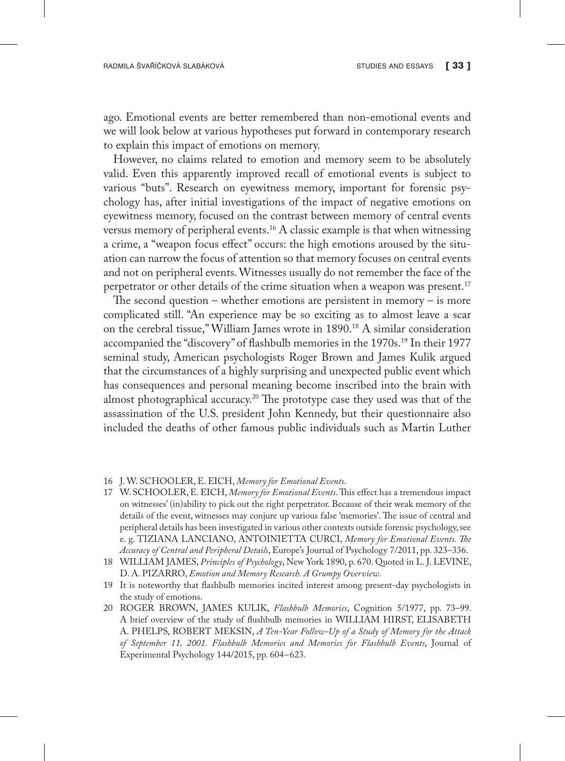ago. Emotional events are better remembered than non-emotional events and we will look below at various hypotheses put forward in contemporary research to explain this impact of emotions on memory.

However, no claims related to emotion and memory seem to be absolutely valid. Even this apparently improved recall of emotional events is subject to various "buts". Research on eyewitness memory, important for forensic psychology has, after initial investigations of the impact of negative emotions on eyewitness memory, focused on the contrast between memory of central events versus memory of peripheral events.<sup>16</sup> A classic example is that when witnessing a crime, a "weapon focus effect" occurs: the high emotions aroused by the situation can narrow the focus of attention so that memory focuses on central events and not on peripheral events. Witnesses usually do not remember the face of the perpetrator or other details of the crime situation when a weapon was present.<sup>17</sup>

The second question – whether emotions are persistent in memory – is more complicated still. "An experience may be so exciting as to almost leave a scar on the cerebral tissue," William James wrote in 1890.<sup>18</sup> A similar consideration accompanied the "discovery" of flashbulb memories in the 1970s.19 In their 1977 seminal study, American psychologists Roger Brown and James Kulik argued that the circumstances of a highly surprising and unexpected public event which has consequences and personal meaning become inscribed into the brain with almost photographical accuracy.20 The prototype case they used was that of the assassination of the U.S. president John Kennedy, but their questionnaire also included the deaths of other famous public individuals such as Martin Luther

- 16 J. W. SCHOOLER, E. EICH, *Memory for Emotional Events*.
- 17 W. SCHOOLER, E. EICH, *Memory for Emotional Events*. This effect has a tremendous impact on witnesses' (in)ability to pick out the right perpetrator. Because of their weak memory of the details of the event, witnesses may conjure up various false 'memories'. The issue of central and peripheral details has been investigated in various other contexts outside forensic psychology, see e. g. TIZIANA LANCIANO, ANTOINIETTA CURCI, *Memory for Emotional Events. The Accuracy of Central and Peripheral Details*, Europe's Journal of Psychology 7/2011, pp. 323–336.
- 18 WILLIAM JAMES, *Principles of Psychology*, New York 1890, p. 670. Quoted in L. J. LEVINE, D. A. PIZARRO, *Emotion and Memory Research. A Grumpy Overview*.
- 19 It is noteworthy that flashbulb memories incited interest among present-day psychologists in the study of emotions.
- 20 ROGER BROWN, JAMES KULIK, *Flashbulb Memories*, Cognition 5/1977, pp. 73–99. A brief overview of the study of flushbulb memories in WILLIAM HIRST, ELISABETH A. PHELPS, ROBERT MEKSIN, *A Ten-Year Follow-Up of a Study of Memory for the Attack of September 11, 2001. Flashbulb Memories and Memories for Flashbulb Events*, Journal of Experimental Psychology 144/2015, pp. 604–623.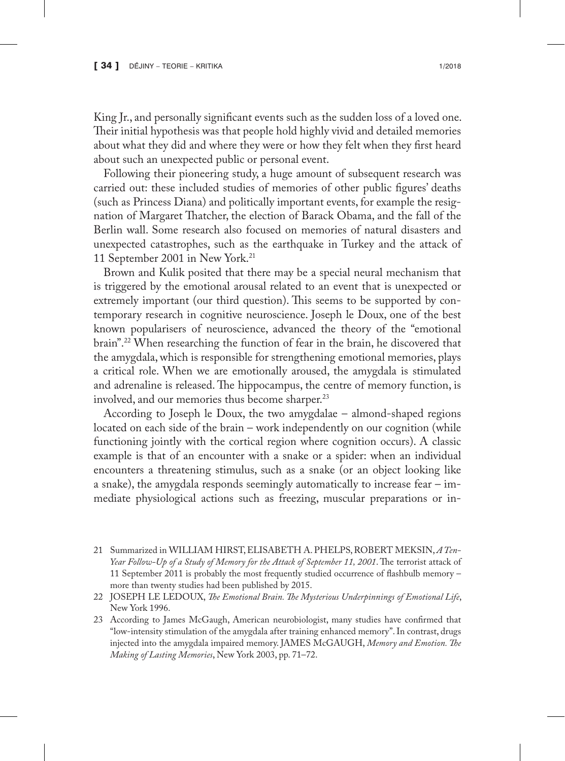King Jr., and personally significant events such as the sudden loss of a loved one. Their initial hypothesis was that people hold highly vivid and detailed memories about what they did and where they were or how they felt when they first heard about such an unexpected public or personal event.

Following their pioneering study, a huge amount of subsequent research was carried out: these included studies of memories of other public figures' deaths (such as Princess Diana) and politically important events, for example the resignation of Margaret Thatcher, the election of Barack Obama, and the fall of the Berlin wall. Some research also focused on memories of natural disasters and unexpected catastrophes, such as the earthquake in Turkey and the attack of 11 September 2001 in New York.21

Brown and Kulik posited that there may be a special neural mechanism that is triggered by the emotional arousal related to an event that is unexpected or extremely important (our third question). This seems to be supported by contemporary research in cognitive neuroscience. Joseph le Doux, one of the best known popularisers of neuroscience, advanced the theory of the "emotional brain".22 When researching the function of fear in the brain, he discovered that the amygdala, which is responsible for strengthening emotional memories, plays a critical role. When we are emotionally aroused, the amygdala is stimulated and adrenaline is released. The hippocampus, the centre of memory function, is involved, and our memories thus become sharper.<sup>23</sup>

According to Joseph le Doux, the two amygdalae – almond-shaped regions located on each side of the brain – work independently on our cognition (while functioning jointly with the cortical region where cognition occurs). A classic example is that of an encounter with a snake or a spider: when an individual encounters a threatening stimulus, such as a snake (or an object looking like a snake), the amygdala responds seemingly automatically to increase fear – immediate physiological actions such as freezing, muscular preparations or in-

- 21 Summarized in WILLIAM HIRST, ELISABETH A. PHELPS, ROBERT MEKSIN, *A Ten-Year Follow-Up of a Study of Memory for the Attack of September 11, 2001*. The terrorist attack of 11 September 2011 is probably the most frequently studied occurrence of flashbulb memory – more than twenty studies had been published by 2015.
- 22 JOSEPH LE LEDOUX, *The Emotional Brain. The Mysterious Underpinnings of Emotional Life*, New York 1996.
- 23 According to James McGaugh, American neurobiologist, many studies have confirmed that "low-intensity stimulation of the amygdala after training enhanced memory". In contrast, drugs injected into the amygdala impaired memory. JAMES McGAUGH, *Memory and Emotion. The Making of Lasting Memories*, New York 2003, pp. 71–72.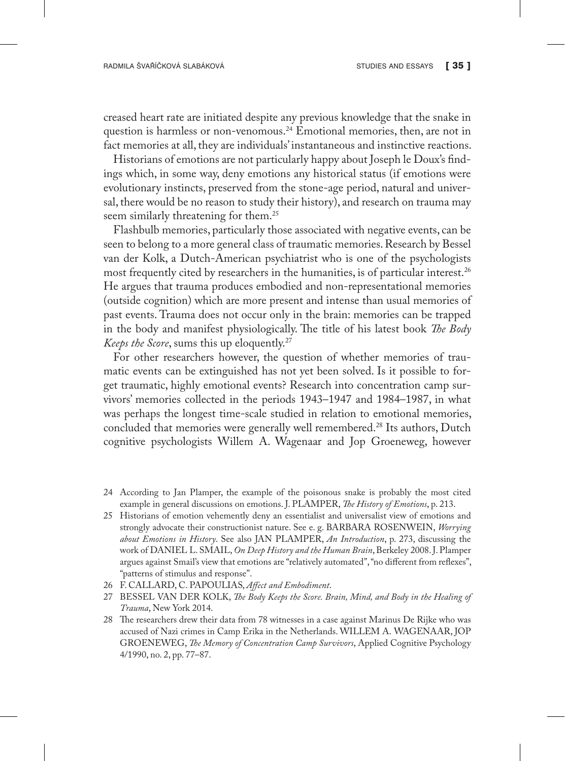creased heart rate are initiated despite any previous knowledge that the snake in question is harmless or non-venomous.<sup>24</sup> Emotional memories, then, are not in fact memories at all, they are individuals' instantaneous and instinctive reactions.

Historians of emotions are not particularly happy about Joseph le Doux's findings which, in some way, deny emotions any historical status (if emotions were evolutionary instincts, preserved from the stone-age period, natural and universal, there would be no reason to study their history), and research on trauma may seem similarly threatening for them.<sup>25</sup>

Flashbulb memories, particularly those associated with negative events, can be seen to belong to a more general class of traumatic memories. Research by Bessel van der Kolk, a Dutch-American psychiatrist who is one of the psychologists most frequently cited by researchers in the humanities, is of particular interest.26 He argues that trauma produces embodied and non-representational memories (outside cognition) which are more present and intense than usual memories of past events. Trauma does not occur only in the brain: memories can be trapped in the body and manifest physiologically. The title of his latest book *The Body Keeps the Score*, sums this up eloquently.27

For other researchers however, the question of whether memories of traumatic events can be extinguished has not yet been solved. Is it possible to forget traumatic, highly emotional events? Research into concentration camp survivors' memories collected in the periods 1943–1947 and 1984–1987, in what was perhaps the longest time-scale studied in relation to emotional memories, concluded that memories were generally well remembered.28 Its authors, Dutch cognitive psychologists Willem A. Wagenaar and Jop Groeneweg, however

- 24 According to Jan Plamper, the example of the poisonous snake is probably the most cited example in general discussions on emotions. J. PLAMPER, *The History of Emotions*, p. 213.
- 25 Historians of emotion vehemently deny an essentialist and universalist view of emotions and strongly advocate their constructionist nature. See e. g. BARBARA ROSENWEIN, *Worrying about Emotions in History*. See also JAN PLAMPER, *An Introduction*, p. 273, discussing the work of DANIEL L. SMAIL, *On Deep History and the Human Brain*, Berkeley 2008. J. Plamper argues against Smail's view that emotions are "relatively automated", "no different from reflexes", "patterns of stimulus and response".
- 26 F. CALLARD, C. PAPOULIAS, *Affect and Embodiment*.
- 27 BESSEL VAN DER KOLK, *The Body Keeps the Score. Brain, Mind, and Body in the Healing of Trauma*, New York 2014.
- 28 The researchers drew their data from 78 witnesses in a case against Marinus De Rijke who was accused of Nazi crimes in Camp Erika in the Netherlands. WILLEM A. WAGENAAR, JOP GROENEWEG, *The Memory of Concentration Camp Survivors*, Applied Cognitive Psychology 4/1990, no. 2, pp. 77–87.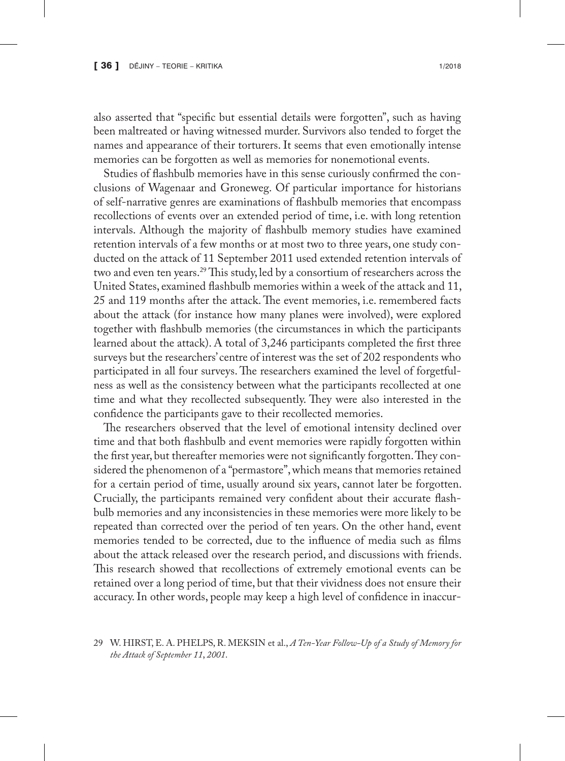also asserted that "specific but essential details were forgotten", such as having been maltreated or having witnessed murder. Survivors also tended to forget the names and appearance of their torturers. It seems that even emotionally intense memories can be forgotten as well as memories for nonemotional events.

Studies of flashbulb memories have in this sense curiously confirmed the conclusions of Wagenaar and Groneweg. Of particular importance for historians of self-narrative genres are examinations of flashbulb memories that encompass recollections of events over an extended period of time, i.e. with long retention intervals. Although the majority of flashbulb memory studies have examined retention intervals of a few months or at most two to three years, one study conducted on the attack of 11 September 2011 used extended retention intervals of two and even ten years.29 This study, led by a consortium of researchers across the United States, examined flashbulb memories within a week of the attack and 11, 25 and 119 months after the attack. The event memories, i.e. remembered facts about the attack (for instance how many planes were involved), were explored together with flashbulb memories (the circumstances in which the participants learned about the attack). A total of 3,246 participants completed the first three surveys but the researchers' centre of interest was the set of 202 respondents who participated in all four surveys. The researchers examined the level of forgetfulness as well as the consistency between what the participants recollected at one time and what they recollected subsequently. They were also interested in the confidence the participants gave to their recollected memories.

The researchers observed that the level of emotional intensity declined over time and that both flashbulb and event memories were rapidly forgotten within the first year, but thereafter memories were not significantly forgotten. They considered the phenomenon of a "permastore", which means that memories retained for a certain period of time, usually around six years, cannot later be forgotten. Crucially, the participants remained very confident about their accurate flashbulb memories and any inconsistencies in these memories were more likely to be repeated than corrected over the period of ten years. On the other hand, event memories tended to be corrected, due to the influence of media such as films about the attack released over the research period, and discussions with friends. This research showed that recollections of extremely emotional events can be retained over a long period of time, but that their vividness does not ensure their accuracy. In other words, people may keep a high level of confidence in inaccur-

<sup>29</sup> W. HIRST, E. A. PHELPS, R. MEKSIN et al., *A Ten-Year Follow-Up of a Study of Memory for the Attack of September 11*, *2001*.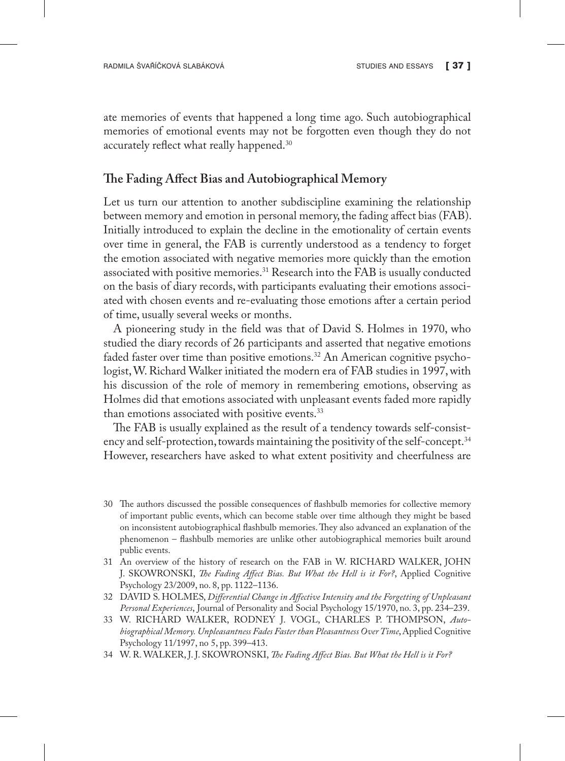ate memories of events that happened a long time ago. Such autobiographical memories of emotional events may not be forgotten even though they do not accurately reflect what really happened.30

#### **The Fading Affect Bias and Autobiographical Memory**

Let us turn our attention to another subdiscipline examining the relationship between memory and emotion in personal memory, the fading affect bias (FAB). Initially introduced to explain the decline in the emotionality of certain events over time in general, the FAB is currently understood as a tendency to forget the emotion associated with negative memories more quickly than the emotion associated with positive memories.31 Research into the FAB is usually conducted on the basis of diary records, with participants evaluating their emotions associated with chosen events and re-evaluating those emotions after a certain period of time, usually several weeks or months.

A pioneering study in the field was that of David S. Holmes in 1970, who studied the diary records of 26 participants and asserted that negative emotions faded faster over time than positive emotions.<sup>32</sup> An American cognitive psychologist, W. Richard Walker initiated the modern era of FAB studies in 1997, with his discussion of the role of memory in remembering emotions, observing as Holmes did that emotions associated with unpleasant events faded more rapidly than emotions associated with positive events.<sup>33</sup>

The FAB is usually explained as the result of a tendency towards self-consistency and self-protection, towards maintaining the positivity of the self-concept.<sup>34</sup> However, researchers have asked to what extent positivity and cheerfulness are

- 30 The authors discussed the possible consequences of flashbulb memories for collective memory of important public events, which can become stable over time although they might be based on inconsistent autobiographical flashbulb memories. They also advanced an explanation of the phenomenon – flashbulb memories are unlike other autobiographical memories built around public events.
- 31 An overview of the history of research on the FAB in W. RICHARD WALKER, JOHN J. SKOWRONSKI, *The Fading Affect Bias. But What the Hell is it For?*, Applied Cognitive Psychology 23/2009, no. 8, pp. 1122–1136.
- 32 DAVID S. HOLMES, *Differential Change in Affective Intensity and the Forgetting of Unpleasant Personal Experiences*, Journal of Personality and Social Psychology 15/1970, no. 3, pp. 234–239.
- 33 W. RICHARD WALKER, RODNEY J. VOGL, CHARLES P. THOMPSON, *Autobiographical Memory. Unpleasantness Fades Faster than Pleasantness Over Time*, Applied Cognitive Psychology 11/1997, no 5, pp. 399–413.
- 34 W. R. WALKER, J. J. SKOWRONSKI, *The Fading Affect Bias. But What the Hell is it For?*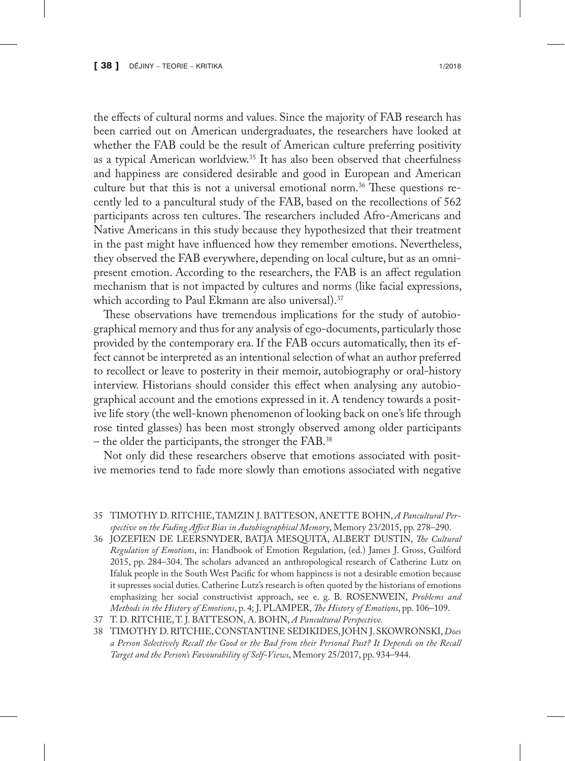the effects of cultural norms and values. Since the majority of FAB research has been carried out on American undergraduates, the researchers have looked at whether the FAB could be the result of American culture preferring positivity as a typical American worldview.35 It has also been observed that cheerfulness and happiness are considered desirable and good in European and American culture but that this is not a universal emotional norm.<sup>36</sup> These questions recently led to a pancultural study of the FAB, based on the recollections of 562 participants across ten cultures. The researchers included Afro-Americans and Native Americans in this study because they hypothesized that their treatment in the past might have influenced how they remember emotions. Nevertheless, they observed the FAB everywhere, depending on local culture, but as an omnipresent emotion. According to the researchers, the FAB is an affect regulation mechanism that is not impacted by cultures and norms (like facial expressions, which according to Paul Ekmann are also universal).<sup>37</sup>

These observations have tremendous implications for the study of autobiographical memory and thus for any analysis of ego-documents, particularly those provided by the contemporary era. If the FAB occurs automatically, then its effect cannot be interpreted as an intentional selection of what an author preferred to recollect or leave to posterity in their memoir, autobiography or oral-history interview. Historians should consider this effect when analysing any autobiographical account and the emotions expressed in it. A tendency towards a positive life story (the well-known phenomenon of looking back on one's life through rose tinted glasses) has been most strongly observed among older participants – the older the participants, the stronger the FAB.38

Not only did these researchers observe that emotions associated with positive memories tend to fade more slowly than emotions associated with negative

- 35 TIMOTHY D. RITCHIE, TAMZIN J. BATTESON, ANETTE BOHN, *A Pancultural Perspective on the Fading Affect Bias in Autobiographical Memory*, Memory 23/2015, pp. 278–290.
- 36 JOZEFIEN DE LEERSNYDER, BATJA MESQUITA, ALBERT DUSTIN, *The Cultural Regulation of Emotions*, in: Handbook of Emotion Regulation, (ed.) James J. Gross, Guilford 2015, pp. 284–304. The scholars advanced an anthropological research of Catherine Lutz on Ifaluk people in the South West Pacific for whom happiness is not a desirable emotion because it supresses social duties. Catherine Lutz's research is often quoted by the historians of emotions emphasizing her social constructivist approach, see e. g. B. ROSENWEIN, *Problems and Methods in the History of Emotions*, p. 4; J. PLAMPER, *The History of Emotions*, pp. 106–109.
- 37 T. D. RITCHIE, T. J. BATTESON, A. BOHN, *A Pancultural Perspective.*
- 38 TIMOTHY D. RITCHIE, CONSTANTINE SEDIKIDES, JOHN J. SKOWRONSKI, *Does a Person Selectively Recall the Good or the Bad from their Personal Past? It Depends on the Recall Target and the Person's Favourability of Self-Views*, Memory 25/2017, pp. 934–944.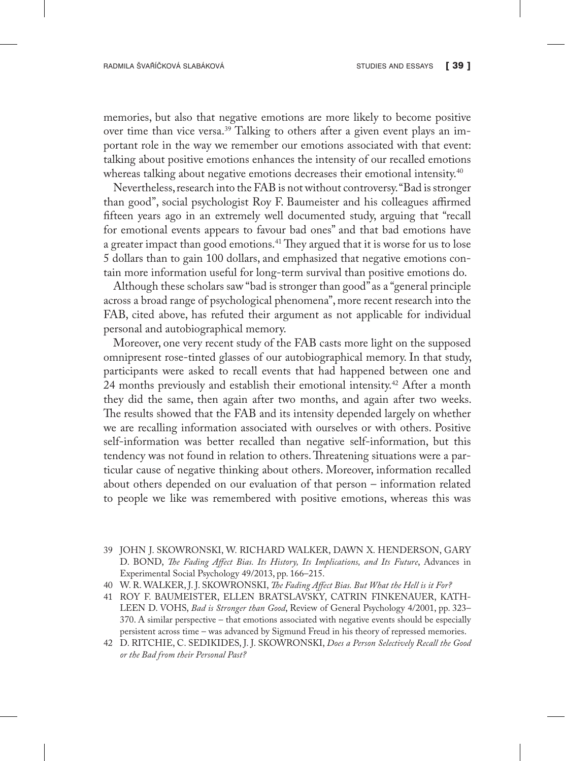memories, but also that negative emotions are more likely to become positive over time than vice versa.39 Talking to others after a given event plays an important role in the way we remember our emotions associated with that event: talking about positive emotions enhances the intensity of our recalled emotions whereas talking about negative emotions decreases their emotional intensity.<sup>40</sup>

Nevertheless, research into the FAB is not without controversy. "Bad is stronger than good", social psychologist Roy F. Baumeister and his colleagues affirmed fifteen years ago in an extremely well documented study, arguing that "recall for emotional events appears to favour bad ones" and that bad emotions have a greater impact than good emotions.<sup>41</sup> They argued that it is worse for us to lose 5 dollars than to gain 100 dollars, and emphasized that negative emotions contain more information useful for long-term survival than positive emotions do.

Although these scholars saw "bad is stronger than good" as a "general principle across a broad range of psychological phenomena", more recent research into the FAB, cited above, has refuted their argument as not applicable for individual personal and autobiographical memory.

Moreover, one very recent study of the FAB casts more light on the supposed omnipresent rose-tinted glasses of our autobiographical memory. In that study, participants were asked to recall events that had happened between one and 24 months previously and establish their emotional intensity.<sup>42</sup> After a month they did the same, then again after two months, and again after two weeks. The results showed that the FAB and its intensity depended largely on whether we are recalling information associated with ourselves or with others. Positive self-information was better recalled than negative self-information, but this tendency was not found in relation to others. Threatening situations were a particular cause of negative thinking about others. Moreover, information recalled about others depended on our evaluation of that person – information related to people we like was remembered with positive emotions, whereas this was

- 39 JOHN J. SKOWRONSKI, W. RICHARD WALKER, DAWN X. HENDERSON, GARY D. BOND, *The Fading Affect Bias. Its History, Its Implications, and Its Future*, Advances in Experimental Social Psychology 49/2013, pp. 166–215.
- 40 W. R. WALKER, J. J. SKOWRONSKI, *The Fading Affect Bias. But What the Hell is it For?*
- 41 ROY F. BAUMEISTER, ELLEN BRATSLAVSKY, CATRIN FINKENAUER, KATH-LEEN D. VOHS, *Bad is Stronger than Good*, Review of General Psychology 4/2001, pp. 323– 370. A similar perspective – that emotions associated with negative events should be especially persistent across time – was advanced by Sigmund Freud in his theory of repressed memories.
- 42 D. RITCHIE, C. SEDIKIDES, J. J. SKOWRONSKI, *Does a Person Selectively Recall the Good or the Bad from their Personal Past?*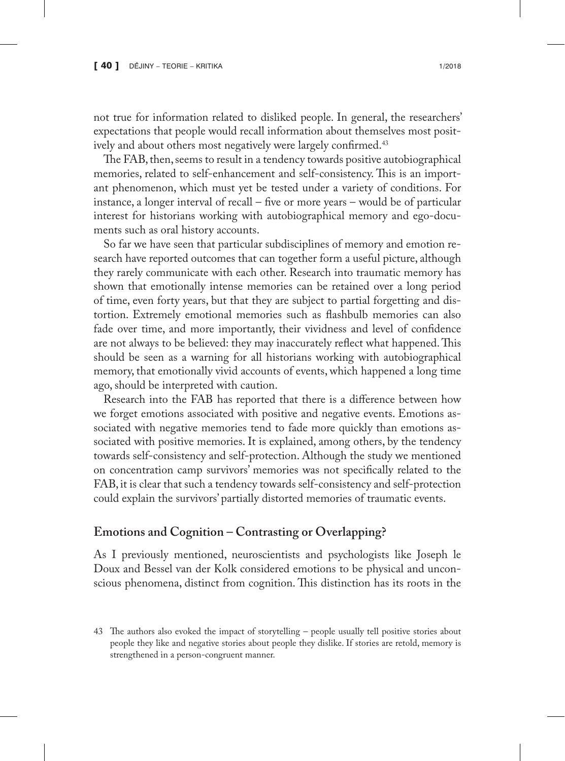not true for information related to disliked people. In general, the researchers' expectations that people would recall information about themselves most positively and about others most negatively were largely confirmed.<sup>43</sup>

The FAB, then, seems to result in a tendency towards positive autobiographical memories, related to self-enhancement and self-consistency. This is an important phenomenon, which must yet be tested under a variety of conditions. For instance, a longer interval of recall – five or more years – would be of particular interest for historians working with autobiographical memory and ego-documents such as oral history accounts.

So far we have seen that particular subdisciplines of memory and emotion research have reported outcomes that can together form a useful picture, although they rarely communicate with each other. Research into traumatic memory has shown that emotionally intense memories can be retained over a long period of time, even forty years, but that they are subject to partial forgetting and distortion. Extremely emotional memories such as flashbulb memories can also fade over time, and more importantly, their vividness and level of confidence are not always to be believed: they may inaccurately reflect what happened. This should be seen as a warning for all historians working with autobiographical memory, that emotionally vivid accounts of events, which happened a long time ago, should be interpreted with caution.

Research into the FAB has reported that there is a difference between how we forget emotions associated with positive and negative events. Emotions associated with negative memories tend to fade more quickly than emotions associated with positive memories. It is explained, among others, by the tendency towards self-consistency and self-protection. Although the study we mentioned on concentration camp survivors' memories was not specifically related to the FAB, it is clear that such a tendency towards self-consistency and self-protection could explain the survivors' partially distorted memories of traumatic events.

### **Emotions and Cognition – Contrasting or Overlapping?**

As I previously mentioned, neuroscientists and psychologists like Joseph le Doux and Bessel van der Kolk considered emotions to be physical and unconscious phenomena, distinct from cognition. This distinction has its roots in the

<sup>43</sup> The authors also evoked the impact of storytelling – people usually tell positive stories about people they like and negative stories about people they dislike. If stories are retold, memory is strengthened in a person-congruent manner.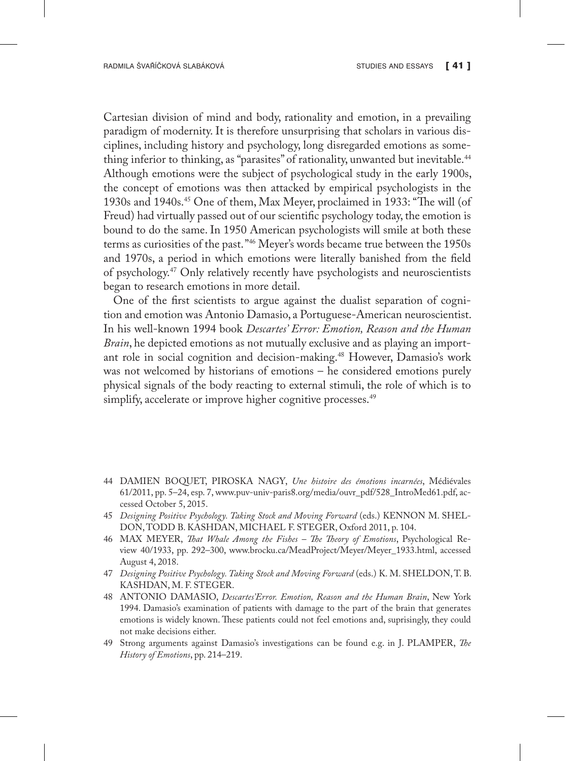Cartesian division of mind and body, rationality and emotion, in a prevailing paradigm of modernity. It is therefore unsurprising that scholars in various disciplines, including history and psychology, long disregarded emotions as something inferior to thinking, as "parasites" of rationality, unwanted but inevitable.<sup>44</sup> Although emotions were the subject of psychological study in the early 1900s, the concept of emotions was then attacked by empirical psychologists in the 1930s and 1940s.45 One of them, Max Meyer, proclaimed in 1933: "The will (of Freud) had virtually passed out of our scientific psychology today, the emotion is bound to do the same. In 1950 American psychologists will smile at both these terms as curiosities of the past. "46 Meyer's words became true between the 1950s and 1970s, a period in which emotions were literally banished from the field of psychology.47 Only relatively recently have psychologists and neuroscientists began to research emotions in more detail.

One of the first scientists to argue against the dualist separation of cognition and emotion was Antonio Damasio, a Portuguese-American neuroscientist. In his well-known 1994 book *Descartes' Error: Emotion, Reason and the Human Brain*, he depicted emotions as not mutually exclusive and as playing an important role in social cognition and decision-making.<sup>48</sup> However, Damasio's work was not welcomed by historians of emotions – he considered emotions purely physical signals of the body reacting to external stimuli, the role of which is to simplify, accelerate or improve higher cognitive processes.<sup>49</sup>

- 44 DAMIEN BOQUET, PIROSKA NAGY, *Une histoire des émotions incarnées*, Médiévales 61/2011, pp. 5–24, esp. 7, www.puv-univ-paris8.org/media/ouvr\_pdf/528\_IntroMed61.pdf, accessed October 5, 2015.
- 45 *Designing Positive Psychology. Taking Stock and Moving Forward* (eds.) KENNON M. SHEL-DON, TODD B. KASHDAN, MICHAEL F. STEGER, Oxford 2011, p. 104.
- 46 MAX MEYER, *That Whale Among the Fishes The Theory of Emotions*, Psychological Review 40/1933, pp. 292–300, www.brocku.ca/MeadProject/Meyer/Meyer\_1933.html, accessed August 4, 2018.
- 47 *Designing Positive Psychology. Taking Stock and Moving Forward* (eds.) K. M. SHELDON, T. B. KASHDAN, M. F. STEGER.
- 48 ANTONIO DAMASIO, *Descartes'Error. Emotion, Reason and the Human Brain*, New York 1994. Damasio's examination of patients with damage to the part of the brain that generates emotions is widely known. These patients could not feel emotions and, suprisingly, they could not make decisions either.
- 49 Strong arguments against Damasio's investigations can be found e.g. in J. PLAMPER, *The History of Emotions*, pp. 214–219.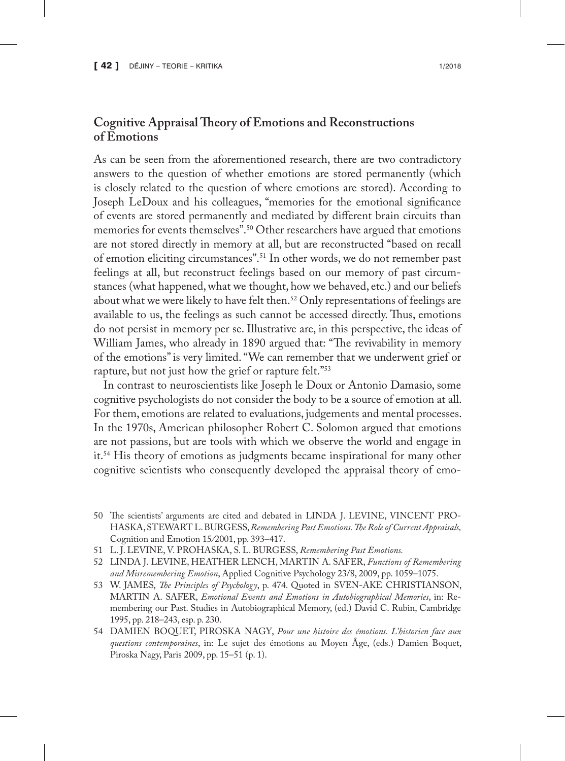# **Cognitive Appraisal Theory of Emotions and Reconstructions of Emotions**

As can be seen from the aforementioned research, there are two contradictory answers to the question of whether emotions are stored permanently (which is closely related to the question of where emotions are stored). According to Joseph LeDoux and his colleagues, "memories for the emotional significance of events are stored permanently and mediated by different brain circuits than memories for events themselves".<sup>50</sup> Other researchers have argued that emotions are not stored directly in memory at all, but are reconstructed "based on recall of emotion eliciting circumstances".51 In other words, we do not remember past feelings at all, but reconstruct feelings based on our memory of past circumstances (what happened, what we thought, how we behaved, etc.) and our beliefs about what we were likely to have felt then.<sup>52</sup> Only representations of feelings are available to us, the feelings as such cannot be accessed directly. Thus, emotions do not persist in memory per se. Illustrative are, in this perspective, the ideas of William James, who already in 1890 argued that: "The revivability in memory of the emotions" is very limited. "We can remember that we underwent grief or rapture, but not just how the grief or rapture felt."<sup>53</sup>

In contrast to neuroscientists like Joseph le Doux or Antonio Damasio, some cognitive psychologists do not consider the body to be a source of emotion at all. For them, emotions are related to evaluations, judgements and mental processes. In the 1970s, American philosopher Robert C. Solomon argued that emotions are not passions, but are tools with which we observe the world and engage in it.54 His theory of emotions as judgments became inspirational for many other cognitive scientists who consequently developed the appraisal theory of emo-

- 50 The scientists' arguments are cited and debated in LINDA J. LEVINE, VINCENT PRO-HASKA, STEWART L. BURGESS, *Remembering Past Emotions. The Role of Current Appraisals,*  Cognition and Emotion 15*/*2001, pp. 393–417.
- 51 L. J. LEVINE, V. PROHASKA, S. L. BURGESS, *Remembering Past Emotions.*
- 52 LINDA J. LEVINE, HEATHER LENCH, MARTIN A. SAFER, *Functions of Remembering and Misremembering Emotion*, Applied Cognitive Psychology 23/8, 2009, pp. 1059–1075.
- 53 W. JAMES, *The Principles of Psychology*, p. 474. Quoted in SVEN-AKE CHRISTIANSON, MARTIN A. SAFER, *Emotional Events and Emotions in Autobiographical Memories*, in: Remembering our Past. Studies in Autobiographical Memory, (ed.) David C. Rubin, Cambridge 1995, pp. 218–243, esp. p. 230.
- 54 DAMIEN BOQUET, PIROSKA NAGY, *Pour une histoire des émotions. L'historien face aux questions contemporaines*, in: Le sujet des émotions au Moyen Âge, (eds.) Damien Boquet, Piroska Nagy, Paris 2009, pp. 15–51 (p. 1).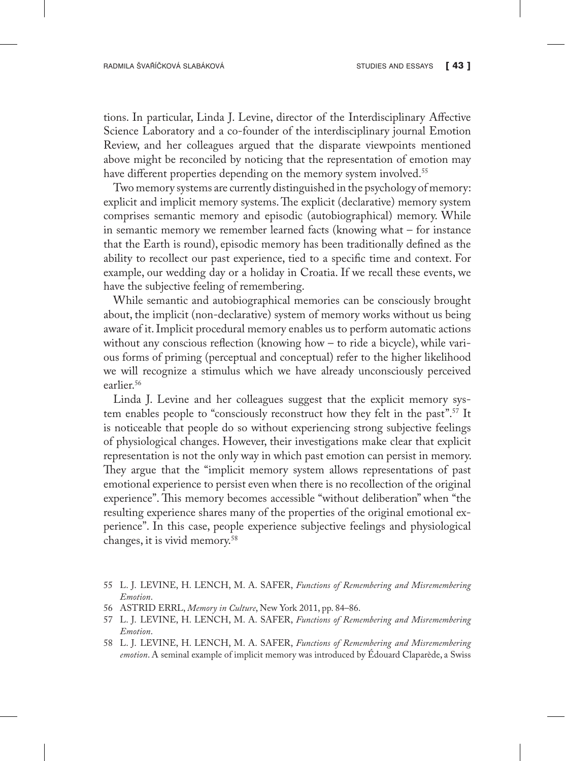tions. In particular, Linda J. Levine, director of the Interdisciplinary Affective Science Laboratory and a co-founder of the interdisciplinary journal Emotion Review, and her colleagues argued that the disparate viewpoints mentioned above might be reconciled by noticing that the representation of emotion may have different properties depending on the memory system involved.<sup>55</sup>

Two memory systems are currently distinguished in the psychology of memory: explicit and implicit memory systems. The explicit (declarative) memory system comprises semantic memory and episodic (autobiographical) memory. While in semantic memory we remember learned facts (knowing what – for instance that the Earth is round), episodic memory has been traditionally defined as the ability to recollect our past experience, tied to a specific time and context. For example, our wedding day or a holiday in Croatia. If we recall these events, we have the subjective feeling of remembering.

While semantic and autobiographical memories can be consciously brought about, the implicit (non-declarative) system of memory works without us being aware of it. Implicit procedural memory enables us to perform automatic actions without any conscious reflection (knowing how – to ride a bicycle), while various forms of priming (perceptual and conceptual) refer to the higher likelihood we will recognize a stimulus which we have already unconsciously perceived earlier.<sup>56</sup>

Linda J. Levine and her colleagues suggest that the explicit memory system enables people to "consciously reconstruct how they felt in the past".57 It is noticeable that people do so without experiencing strong subjective feelings of physiological changes. However, their investigations make clear that explicit representation is not the only way in which past emotion can persist in memory. They argue that the "implicit memory system allows representations of past emotional experience to persist even when there is no recollection of the original experience". This memory becomes accessible "without deliberation" when "the resulting experience shares many of the properties of the original emotional experience". In this case, people experience subjective feelings and physiological changes, it is vivid memory.58

<sup>55</sup> L. J. LEVINE, H. LENCH, M. A. SAFER, *Functions of Remembering and Misremembering Emotion*.

<sup>56</sup> ASTRID ERRL, *Memory in Culture*, New York 2011, pp. 84–86.

<sup>57</sup> L. J. LEVINE, H. LENCH, M. A. SAFER, *Functions of Remembering and Misremembering Emotion*.

<sup>58</sup> L. J. LEVINE, H. LENCH, M. A. SAFER, *Functions of Remembering and Misremembering emotion*. A seminal example of implicit memory was introduced by Édouard Claparède, a Swiss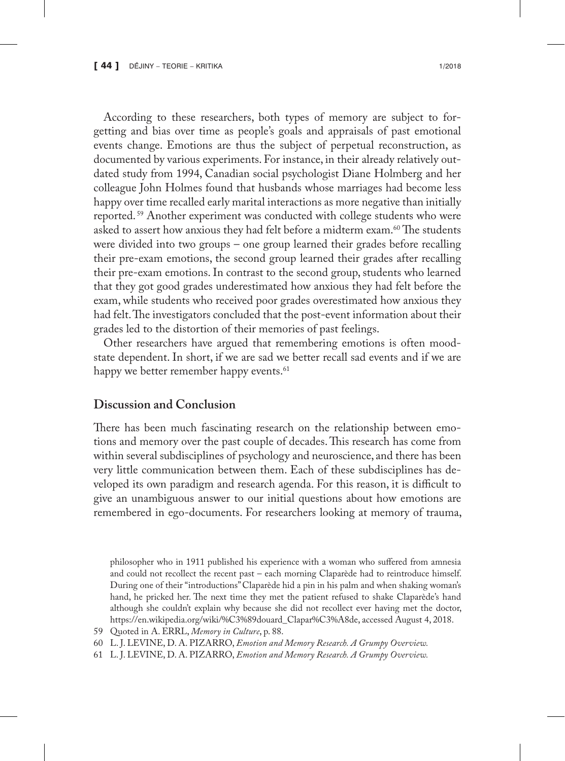According to these researchers, both types of memory are subject to forgetting and bias over time as people's goals and appraisals of past emotional events change. Emotions are thus the subject of perpetual reconstruction, as documented by various experiments. For instance, in their already relatively outdated study from 1994, Canadian social psychologist Diane Holmberg and her colleague John Holmes found that husbands whose marriages had become less happy over time recalled early marital interactions as more negative than initially reported. 59 Another experiment was conducted with college students who were asked to assert how anxious they had felt before a midterm exam.<sup>60</sup> The students were divided into two groups – one group learned their grades before recalling their pre-exam emotions, the second group learned their grades after recalling their pre-exam emotions. In contrast to the second group, students who learned that they got good grades underestimated how anxious they had felt before the exam, while students who received poor grades overestimated how anxious they had felt. The investigators concluded that the post-event information about their grades led to the distortion of their memories of past feelings.

Other researchers have argued that remembering emotions is often moodstate dependent. In short, if we are sad we better recall sad events and if we are happy we better remember happy events.<sup>61</sup>

#### **Discussion and Conclusion**

There has been much fascinating research on the relationship between emotions and memory over the past couple of decades. This research has come from within several subdisciplines of psychology and neuroscience, and there has been very little communication between them. Each of these subdisciplines has developed its own paradigm and research agenda. For this reason, it is difficult to give an unambiguous answer to our initial questions about how emotions are remembered in ego-documents. For researchers looking at memory of trauma,

philosopher who in 1911 published his experience with a woman who suffered from amnesia and could not recollect the recent past – each morning Claparède had to reintroduce himself. During one of their "introductions" Claparède hid a pin in his palm and when shaking woman's hand, he pricked her. The next time they met the patient refused to shake Claparède's hand although she couldn't explain why because she did not recollect ever having met the doctor, https://en.wikipedia.org/wiki/%C3%89douard\_Clapar%C3%A8de, accessed August 4, 2018.

<sup>59</sup> Quoted in A. ERRL, *Memory in Culture*, p. 88.

<sup>60</sup> L. J. LEVINE, D. A. PIZARRO, *Emotion and Memory Research. A Grumpy Overview.*

<sup>61</sup> L. J. LEVINE, D. A. PIZARRO, *Emotion and Memory Research. A Grumpy Overview.*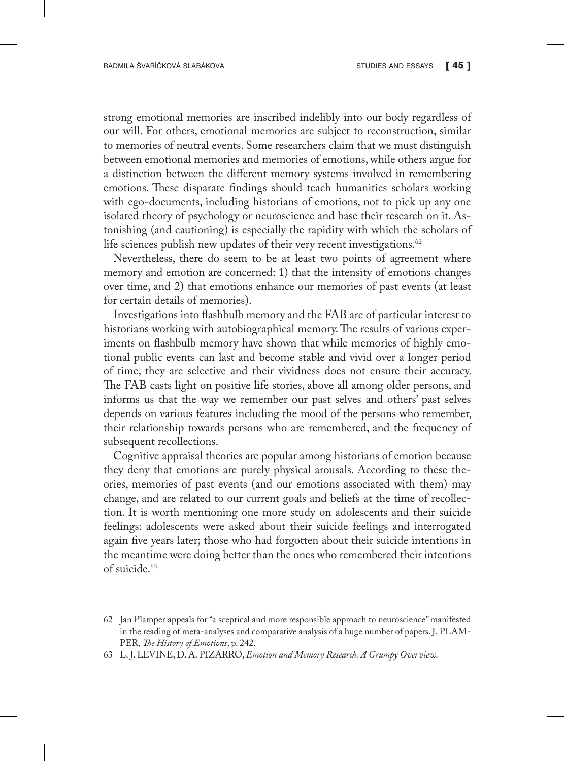strong emotional memories are inscribed indelibly into our body regardless of our will. For others, emotional memories are subject to reconstruction, similar to memories of neutral events. Some researchers claim that we must distinguish between emotional memories and memories of emotions, while others argue for a distinction between the different memory systems involved in remembering emotions. These disparate findings should teach humanities scholars working with ego-documents, including historians of emotions, not to pick up any one isolated theory of psychology or neuroscience and base their research on it. Astonishing (and cautioning) is especially the rapidity with which the scholars of life sciences publish new updates of their very recent investigations. $62$ 

Nevertheless, there do seem to be at least two points of agreement where memory and emotion are concerned: 1) that the intensity of emotions changes over time, and 2) that emotions enhance our memories of past events (at least for certain details of memories).

Investigations into flashbulb memory and the FAB are of particular interest to historians working with autobiographical memory. The results of various experiments on flashbulb memory have shown that while memories of highly emotional public events can last and become stable and vivid over a longer period of time, they are selective and their vividness does not ensure their accuracy. The FAB casts light on positive life stories, above all among older persons, and informs us that the way we remember our past selves and others' past selves depends on various features including the mood of the persons who remember, their relationship towards persons who are remembered, and the frequency of subsequent recollections.

Cognitive appraisal theories are popular among historians of emotion because they deny that emotions are purely physical arousals. According to these theories, memories of past events (and our emotions associated with them) may change, and are related to our current goals and beliefs at the time of recollection. It is worth mentioning one more study on adolescents and their suicide feelings: adolescents were asked about their suicide feelings and interrogated again five years later; those who had forgotten about their suicide intentions in the meantime were doing better than the ones who remembered their intentions of suicide.63

<sup>62</sup> Jan Plamper appeals for "a sceptical and more responsible approach to neuroscience" manifested in the reading of meta-analyses and comparative analysis of a huge number of papers. J. PLAM-PER, *The History of Emotions*, p. 242.

<sup>63</sup> L. J. LEVINE, D. A. PIZARRO, *Emotion and Memory Research. A Grumpy Overview.*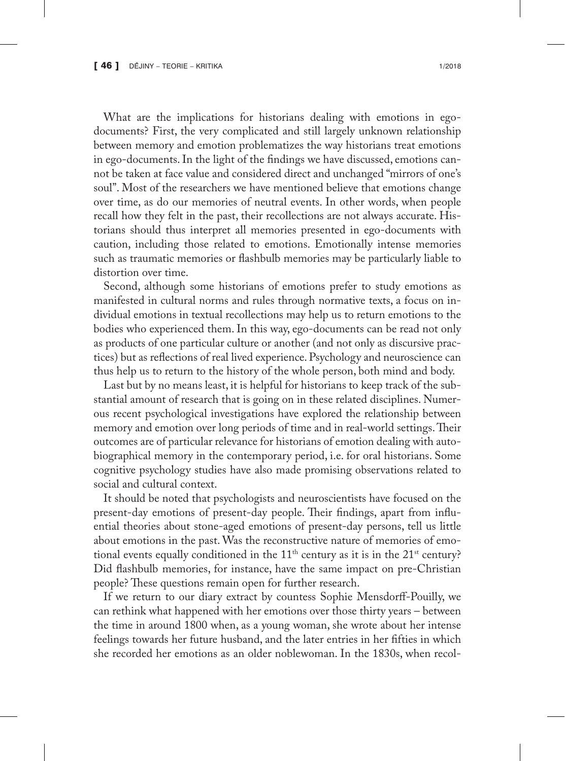What are the implications for historians dealing with emotions in egodocuments? First, the very complicated and still largely unknown relationship between memory and emotion problematizes the way historians treat emotions in ego-documents. In the light of the findings we have discussed, emotions cannot be taken at face value and considered direct and unchanged "mirrors of one's soul". Most of the researchers we have mentioned believe that emotions change over time, as do our memories of neutral events. In other words, when people recall how they felt in the past, their recollections are not always accurate. Historians should thus interpret all memories presented in ego-documents with caution, including those related to emotions. Emotionally intense memories such as traumatic memories or flashbulb memories may be particularly liable to distortion over time.

Second, although some historians of emotions prefer to study emotions as manifested in cultural norms and rules through normative texts, a focus on individual emotions in textual recollections may help us to return emotions to the bodies who experienced them. In this way, ego-documents can be read not only as products of one particular culture or another (and not only as discursive practices) but as reflections of real lived experience. Psychology and neuroscience can thus help us to return to the history of the whole person, both mind and body.

Last but by no means least, it is helpful for historians to keep track of the substantial amount of research that is going on in these related disciplines. Numerous recent psychological investigations have explored the relationship between memory and emotion over long periods of time and in real-world settings. Their outcomes are of particular relevance for historians of emotion dealing with autobiographical memory in the contemporary period, i.e. for oral historians. Some cognitive psychology studies have also made promising observations related to social and cultural context.

It should be noted that psychologists and neuroscientists have focused on the present-day emotions of present-day people. Their findings, apart from influential theories about stone-aged emotions of present-day persons, tell us little about emotions in the past. Was the reconstructive nature of memories of emotional events equally conditioned in the  $11<sup>th</sup>$  century as it is in the  $21<sup>st</sup>$  century? Did flashbulb memories, for instance, have the same impact on pre-Christian people? These questions remain open for further research.

If we return to our diary extract by countess Sophie Mensdorff-Pouilly, we can rethink what happened with her emotions over those thirty years – between the time in around 1800 when, as a young woman, she wrote about her intense feelings towards her future husband, and the later entries in her fifties in which she recorded her emotions as an older noblewoman. In the 1830s, when recol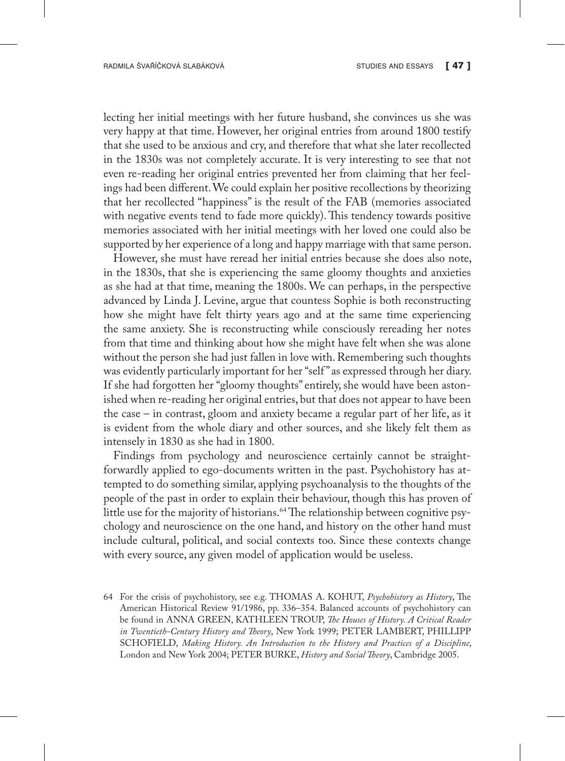lecting her initial meetings with her future husband, she convinces us she was very happy at that time. However, her original entries from around 1800 testify that she used to be anxious and cry, and therefore that what she later recollected in the 1830s was not completely accurate. It is very interesting to see that not even re-reading her original entries prevented her from claiming that her feelings had been different. We could explain her positive recollections by theorizing that her recollected "happiness" is the result of the FAB (memories associated with negative events tend to fade more quickly). This tendency towards positive memories associated with her initial meetings with her loved one could also be supported by her experience of a long and happy marriage with that same person.

However, she must have reread her initial entries because she does also note, in the 1830s, that she is experiencing the same gloomy thoughts and anxieties as she had at that time, meaning the 1800s. We can perhaps, in the perspective advanced by Linda J. Levine, argue that countess Sophie is both reconstructing how she might have felt thirty years ago and at the same time experiencing the same anxiety. She is reconstructing while consciously rereading her notes from that time and thinking about how she might have felt when she was alone without the person she had just fallen in love with. Remembering such thoughts was evidently particularly important for her "self " as expressed through her diary. If she had forgotten her "gloomy thoughts" entirely, she would have been astonished when re-reading her original entries, but that does not appear to have been the case – in contrast, gloom and anxiety became a regular part of her life, as it is evident from the whole diary and other sources, and she likely felt them as intensely in 1830 as she had in 1800.

Findings from psychology and neuroscience certainly cannot be straightforwardly applied to ego-documents written in the past. Psychohistory has attempted to do something similar, applying psychoanalysis to the thoughts of the people of the past in order to explain their behaviour, though this has proven of little use for the majority of historians.<sup>64</sup> The relationship between cognitive psychology and neuroscience on the one hand, and history on the other hand must include cultural, political, and social contexts too. Since these contexts change with every source, any given model of application would be useless.

<sup>64</sup> For the crisis of psychohistory, see e.g. THOMAS A. KOHUT, *Psychohistory as History*, The American Historical Review 91/1986, pp. 336–354. Balanced accounts of psychohistory can be found in ANNA GREEN, KATHLEEN TROUP, *The Houses of History. A Critical Reader in Twentieth-Century History and Theory*, New York 1999; PETER LAMBERT, PHILLIPP SCHOFIELD, *Making History. An Introduction to the History and Practices of a Discipline*, London and New York 2004; PETER BURKE, *History and Social Theory*, Cambridge 2005.